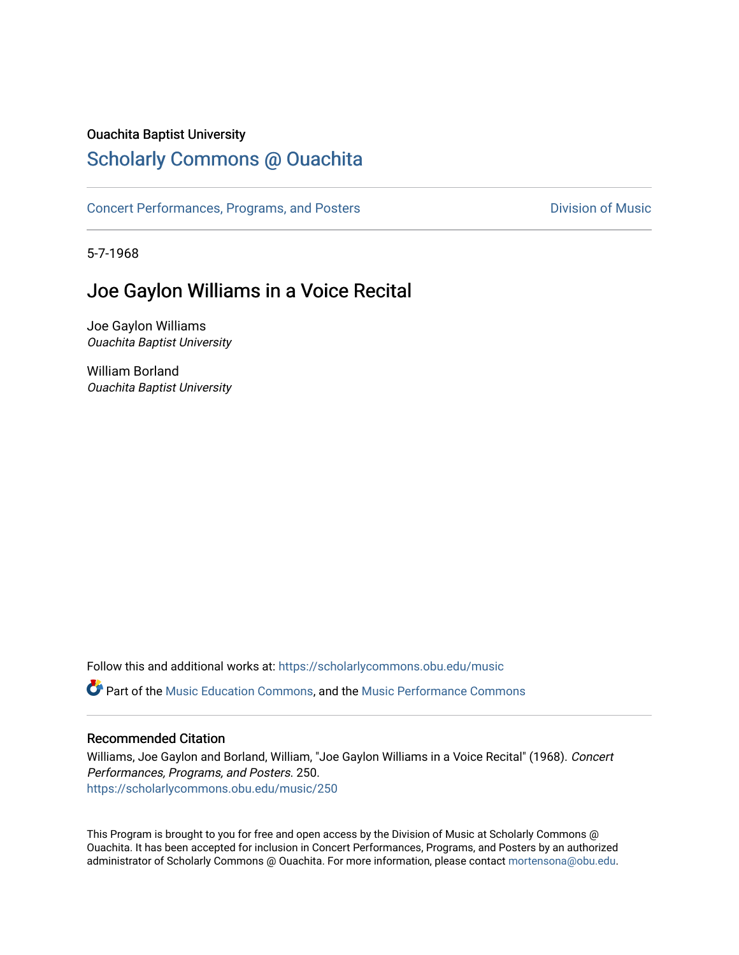### Ouachita Baptist University

# [Scholarly Commons @ Ouachita](https://scholarlycommons.obu.edu/)

[Concert Performances, Programs, and Posters](https://scholarlycommons.obu.edu/music) **Division of Music** Division of Music

5-7-1968

# Joe Gaylon Williams in a Voice Recital

Joe Gaylon Williams Ouachita Baptist University

William Borland Ouachita Baptist University

Follow this and additional works at: [https://scholarlycommons.obu.edu/music](https://scholarlycommons.obu.edu/music?utm_source=scholarlycommons.obu.edu%2Fmusic%2F250&utm_medium=PDF&utm_campaign=PDFCoverPages) 

Part of the [Music Education Commons,](http://network.bepress.com/hgg/discipline/1246?utm_source=scholarlycommons.obu.edu%2Fmusic%2F250&utm_medium=PDF&utm_campaign=PDFCoverPages) and the [Music Performance Commons](http://network.bepress.com/hgg/discipline/1128?utm_source=scholarlycommons.obu.edu%2Fmusic%2F250&utm_medium=PDF&utm_campaign=PDFCoverPages) 

#### Recommended Citation

Williams, Joe Gaylon and Borland, William, "Joe Gaylon Williams in a Voice Recital" (1968). Concert Performances, Programs, and Posters. 250. [https://scholarlycommons.obu.edu/music/250](https://scholarlycommons.obu.edu/music/250?utm_source=scholarlycommons.obu.edu%2Fmusic%2F250&utm_medium=PDF&utm_campaign=PDFCoverPages) 

This Program is brought to you for free and open access by the Division of Music at Scholarly Commons @ Ouachita. It has been accepted for inclusion in Concert Performances, Programs, and Posters by an authorized administrator of Scholarly Commons @ Ouachita. For more information, please contact [mortensona@obu.edu](mailto:mortensona@obu.edu).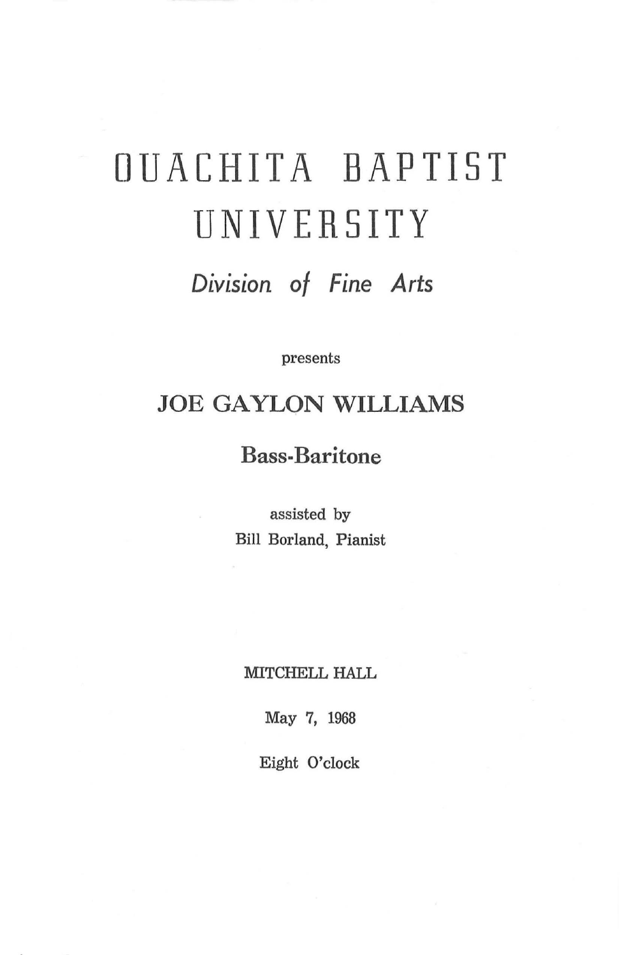# OUACHITA BAPTIST UNIVERSITY

*Division of Fine Arts* 

presents

# JOE GAYLON WILLIAMS

## Bass-Baritone

assisted by Bill Borland, Pianist

MITCHELL HALL

May 7, 1968

Eight O'clock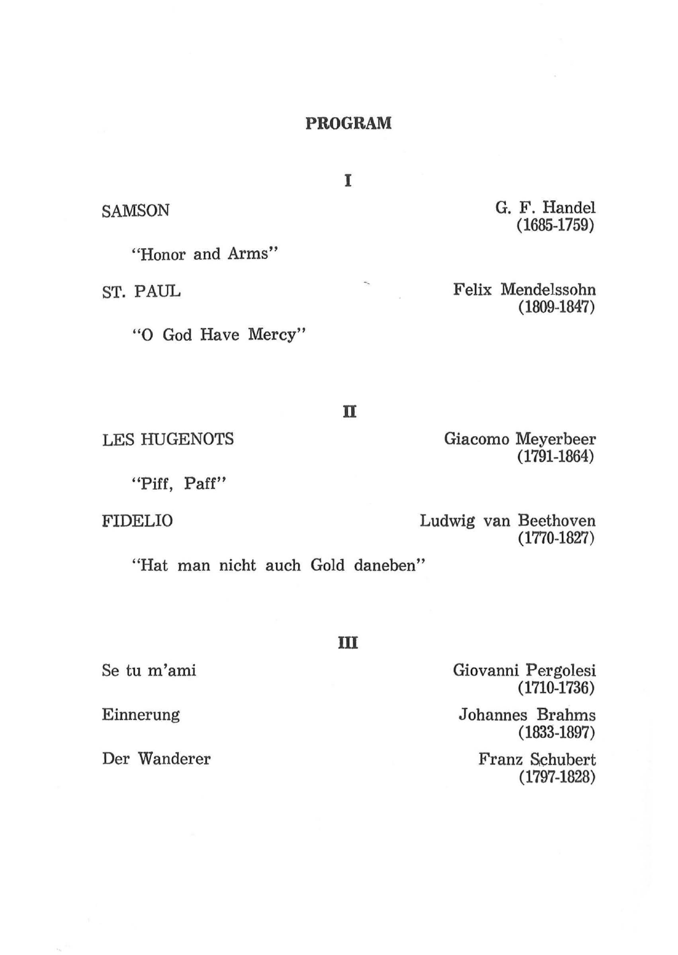#### **PROGRAM**

I

×.

G. F. Handel (1685-1759)

Felix Mendelssohn (1809-1847)

Giacomo Meyerbeer

(1791-1864)

**n** 

LES HUGENOTS

"Piff, Paff''

"Honor and Arms"

"0 God Have Mercy"

FIDELIO

**SAMSON** 

ST. PAUL

Ludwig van Beethoven (1770-1827)

"Hat man nicht auch Gold daneben"

Se tu m'ami

Einnerung

Der Wanderer

**m** 

Giovanni Pergolesi (1710-1736)

Johannes Brahms ( 1833-1897)

> Franz Schubert (1797-1828)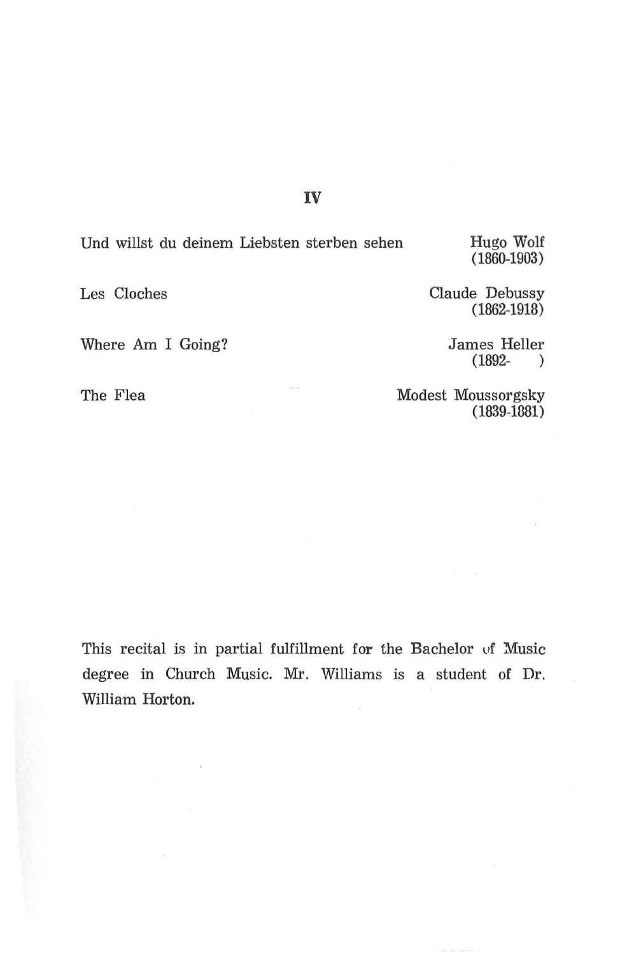#### IV

Und willst du deinem Liebsten sterben sehen Hugo Wolf

(1860-1903)

Les Cloches Claude Debussy ( 1862-1918)

Where Am I Going? James Heller (1892-) (1892- )

The Flea

Modest Moussorgsky (1839-1381)

This recital is in partial fulfillment for the Bachelor of Music degree in Church Music. Mr. Williams is a student of Dr. William Horton.